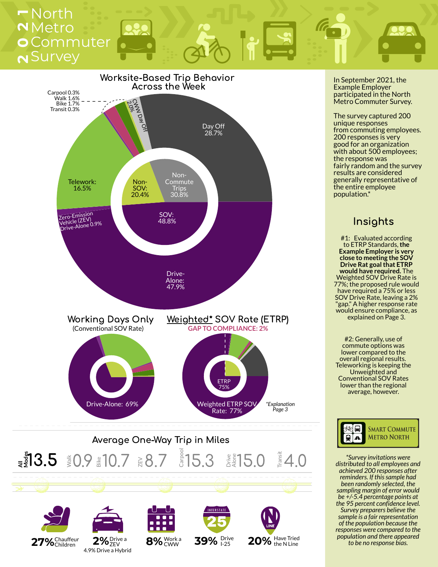## **2** Survey **0** Commuter **2** Metro **<sup>1</sup>**North













In September 2021, the Example Employer participated in the North Metro Commuter Survey.

The survey captured 200 unique responses from commuting employees. 200 responses is very good for an organization with about 500 employees; the response was fairly random and the survey results are considered generally representative of the entire employee population.\*

### Insights

#1: Evaluated according to ETRP Standards,**the Example Employer is very close to meeting the SOV Drive Rat goal that ETRP would have required.** The Weighted SOV Drive Rate is 77%; the proposed rule would have required a 75% or less SOV Drive Rate, leaving a 2% "gap." A higher response rate would ensure compliance, as explained on Page 3.

#2: Generally, use of commute options was lower compared to the overall regional results. Teleworking is keeping the Unweighted and Conventional SOV Rates lower than the regional average, however.



*\*Survey invitations were distributed to all employees and achieved 200 responses after reminders. If thissample had been randomly selected, the sampling margin of error would be +/-5.4 percentage points at the 95 percent confidence level. Survey preparers believe the sample is a fair representation of the population because the responses were compared to the population and there appeared to be no response bias.*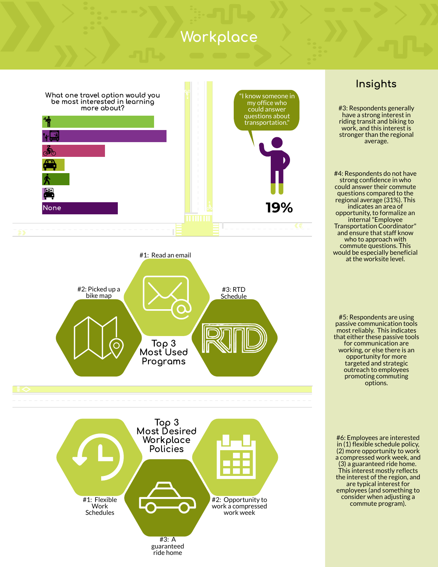## Workplace



Top 3 Most Used Programs Top 3 Most Desired Workplace **Policies** #1: Flexible Work Schedules #3: A guaranteed ride home #2: Opportunity to work a compressed work week #2: Picked up a bike map #3: RTD Schedule #1: Read an email

### Insights

#3: Respondents generally have a strong interest in riding transit and biking to work, and this interest is stronger than the regional average.

#4: Respondents do not have strong confidence in who could answer their commute questions compared to the regional average (31%). This indicates an area of opportunity, to formalize an internal"Employee Transportation Coordinator" and ensure that staff know who to approach with commute questions. This would be especially beneficial at the worksite level.

#5: Respondents are using passive communication tools most reliably. This indicates that either these passive tools for communication are working, or else there is an opportunity for more targeted and strategic outreach to employees promoting commuting options.

#6: Employees are interested in (1) flexible schedule policy, (2) more opportunity to work a compressed work week, and (3) a guaranteed ride home. This interest mostly reflects the interest of the region, and are typical interest for employees (and something to consider when adjusting a commute program).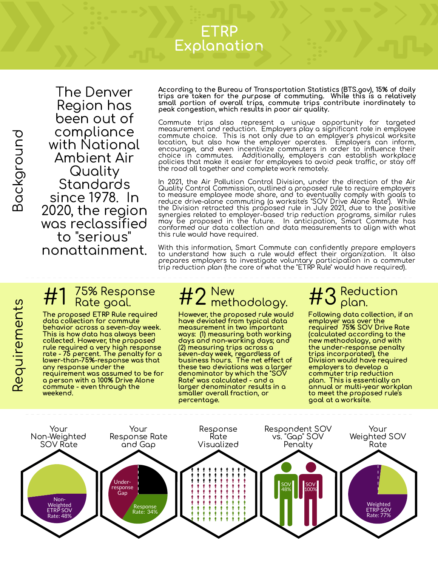## ETRP Explanation

മ

 $\boldsymbol{\alpha}$  $\mathbb O$  $\sigma$ uir  $\mathbb O$  $\in$  $\mathsf \Phi$  $\subset$  $\mathfrak{L}$ 

The Denver Region has been out of compliance with National Ambient Air **Quality Standards** since 1978. In 2020, the region was reclassified to "serious" nonattainment.

According to the Bureau of Transportation Statistics (BTS.gov), 15% of daily trips are taken for the purpose of commuting. While this is a relatively small portion of overall trips, commute trips contribute inordinately to peak congestion, which results in poor air quality.

Commute trips also represent a unique opportunity for targeted measurement and reduction. Employers play a significant role in employee commute choice. This is not only due to an employer's physical worksite location, but also how the employer operates. Employers can inform, encourage, and even incentivize commuters in order to influence their choice in commutes. Additionally, employers can establish workplace policies that make it easier for employees to avoid peak traffic, or stay off the road all together and complete work remotely.

In 2021, the Air Pollution Control Division, under the direction of the Air Quality Control Commission, outlined a proposed rule to require employers to measure employee mode share, and to eventually comply with goals to reduce drive-alone commuting (a worksite's "SOV Drive Alone Rate"). While the Division retracted this proposed rule in July 2021, due to the positive synergies related to employer-based trip reduction programs, similar rules may be proposed in the future. In anticipation, Smart Commute has conformed our data collection and data measurements to align with what this rule would have required.

With this information, Smart Commute can confidently prepare employers to understand how such a rule would effect their organization. It also prepares employers to investigate voluntary participation in a commuter trip reduction plan (the core of what the "ETRP Rule" would have required).

# 75% Response<br>Rate goal.

The proposed ETRP Rule required data collection for commute behavior across a seven-day week. This is how data has always been collected. However, the proposed rule required a very high response rate - 75 percent. The penalty for a lower-than-75%-response was that any response under the requirement was assumed to be for a person with a 100% Drive Alone commute - even through the weekend.

### New #2 New<br>#2 methodology.

However, the proposed rule would have deviated from typical data measurement in two important ways: (1) measuring both working days and non-working days; and (2) measuring trips across a seven-day week, regardless of business hours. The net effect of these two deviations was a larger denominator by which the "SOV Rate" was calculated - and a larger denominator results in a smaller overall fraction, or percentage.

### Reduction  $#3_{\text{plan.}}^{\text{Redu}}$

Following data collection, if an employer was over the required 75% SOV Drive Rate (calculated according to the new methodology, and with the under-response penalty trips incorporated), the Division would have required employers to develop a commuter trip reduction plan. This is essentially an annual or multi-year workplan to meet the proposed rule's goal at a worksite.